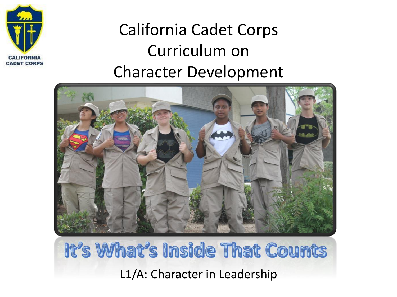

#### California Cadet Corps Curriculum on Character Development



### It's What's Inside That Counts L1/A: Character in Leadership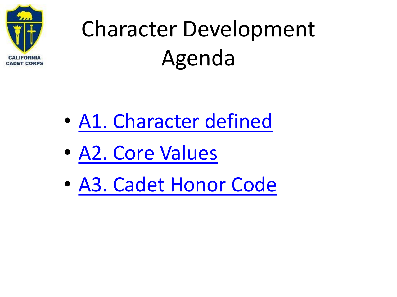<span id="page-1-0"></span>

## Character Development Agenda

- [A1. Character defined](#page-2-0)
- [A2. Core Values](#page-15-0)
- [A3. Cadet Honor Code](#page-23-0)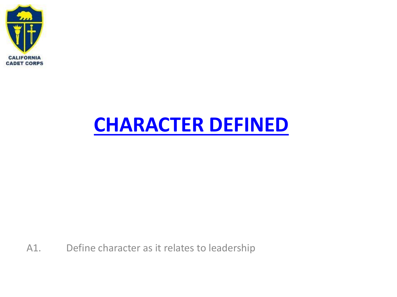<span id="page-2-0"></span>

### **[CHARACTER DEFINED](#page-1-0)**

A1. Define character as it relates to leadership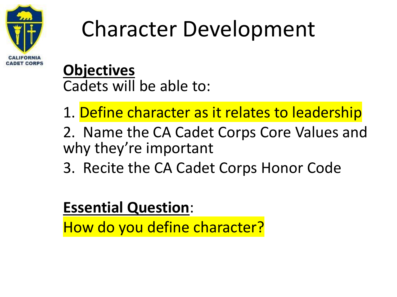

### Character Development

**Objectives** Cadets will be able to:

- 1. Define character as it relates to leadership
- 2. Name the CA Cadet Corps Core Values and why they're important
- 3. Recite the CA Cadet Corps Honor Code

#### **Essential Question**:

How do you define character?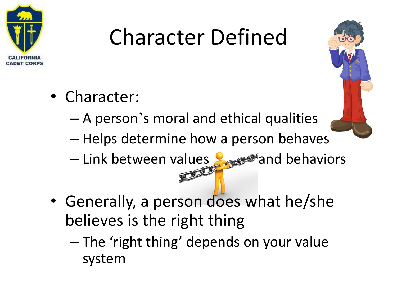

## Character Defined

- Character:
	- A person's moral and ethical qualities
	- Helps determine how a person behaves
	- Link between values and behaviors
- Generally, a person does what he/she believes is the right thing
	- The 'right thing' depends on your value system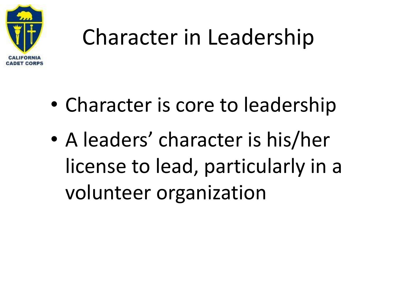

### Character in Leadership

- Character is core to leadership
- A leaders' character is his/her license to lead, particularly in a volunteer organization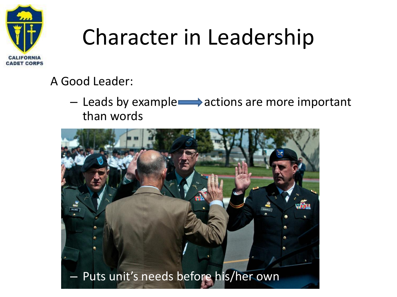

## Character in Leadership

#### A Good Leader:

 $-$  Leads by example $\longrightarrow$  actions are more important than words

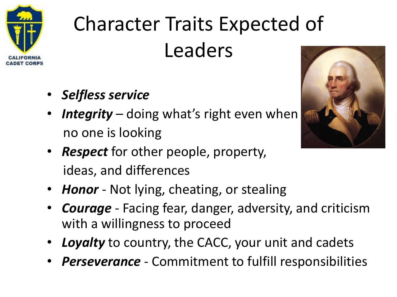

## Character Traits Expected of Leaders

- *Selfless service*
- *Integrity* doing what's right even when no one is looking



- *Respect* for other people, property, ideas, and differences
- *Honor* Not lying, cheating, or stealing
- *Courage* Facing fear, danger, adversity, and criticism with a willingness to proceed
- *Loyalty* to country, the CACC, your unit and cadets
- *Perseverance* Commitment to fulfill responsibilities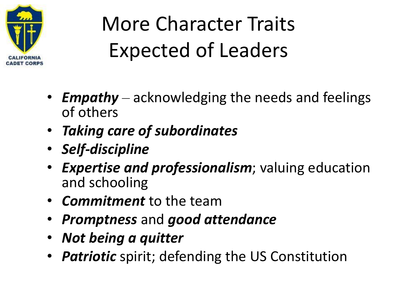

### More Character Traits Expected of Leaders

- *Empathy* acknowledging the needs and feelings of others
- *Taking care of subordinates*
- *Self-discipline*
- *Expertise and professionalism*; valuing education and schooling
- *Commitment* to the team
- *Promptness* and *good attendance*
- *Not being a quitter*
- *Patriotic* spirit; defending the US Constitution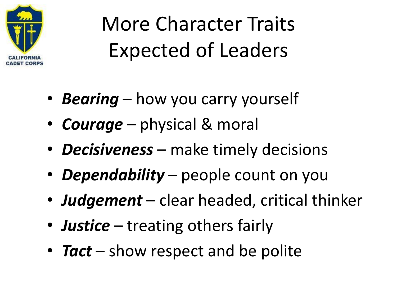

### More Character Traits Expected of Leaders

- *Bearing* how you carry yourself
- *Courage* physical & moral
- *Decisiveness* make timely decisions
- *Dependability* people count on you
- *Judgement* clear headed, critical thinker
- *Justice* treating others fairly
- **Tact** show respect and be polite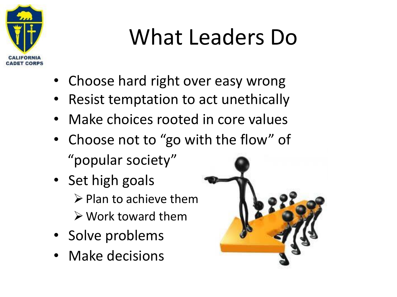

## What Leaders Do

- Choose hard right over easy wrong
- Resist temptation to act unethically
- Make choices rooted in core values
- Choose not to "go with the flow" of
	- "popular society"
- Set high goals  $\triangleright$  Plan to achieve them ➢Work toward them
- Solve problems
- Make decisions

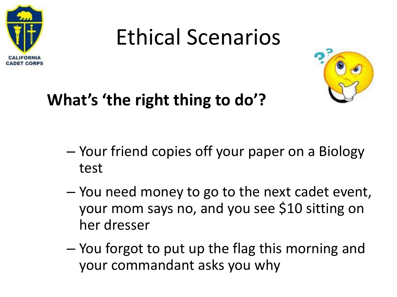

### Ethical Scenarios



#### **What's 'the right thing to do'?**

- Your friend copies off your paper on a Biology test
- You need money to go to the next cadet event, your mom says no, and you see \$10 sitting on her dresser
- You forgot to put up the flag this morning and your commandant asks you why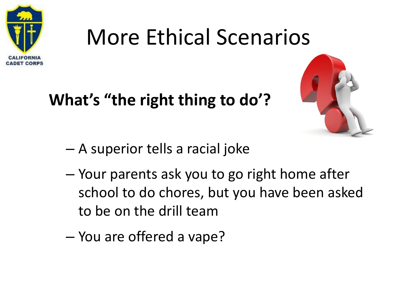

### More Ethical Scenarios

#### **What's "the right thing to do'?**



- A superior tells a racial joke
- Your parents ask you to go right home after school to do chores, but you have been asked to be on the drill team
- You are offered a vape?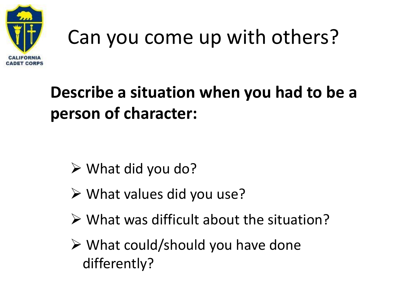

## Can you come up with others?

#### **Describe a situation when you had to be a person of character:**

- $\triangleright$  What did you do?
- ➢ What values did you use?
- $\triangleright$  What was difficult about the situation?
- $\triangleright$  What could/should you have done differently?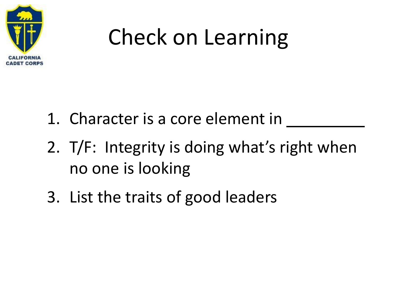

## Check on Learning

- 1. Character is a core element in
- 2. T/F: Integrity is doing what's right when no one is looking
- 3. List the traits of good leaders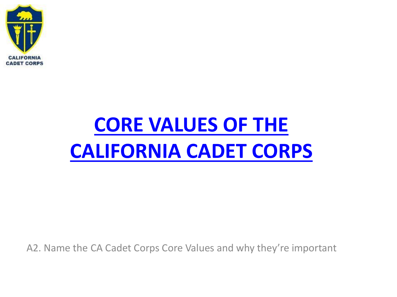<span id="page-15-0"></span>

### **CORE VALUES OF THE [CALIFORNIA CADET CORPS](#page-1-0)**

A2. Name the CA Cadet Corps Core Values and why they're important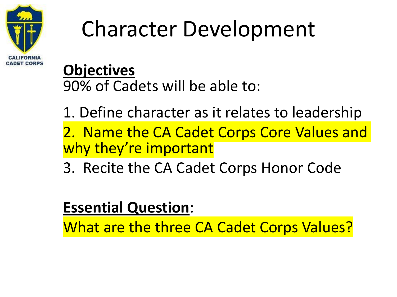

## Character Development

#### **Objectives** 90% of Cadets will be able to:

1. Define character as it relates to leadership

2. Name the CA Cadet Corps Core Values and why they're important

3. Recite the CA Cadet Corps Honor Code

#### **Essential Question**:

What are the three CA Cadet Corps Values?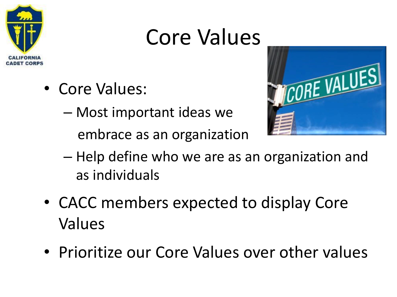

### Core Values

- Core Values:
	- Most important ideas we

embrace as an organization



- Help define who we are as an organization and as individuals
- CACC members expected to display Core Values
- Prioritize our Core Values over other values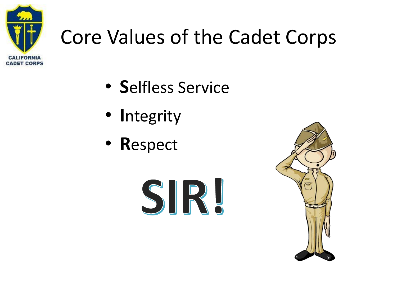

### Core Values of the Cadet Corps

- **S**elfless Service
- **I**ntegrity
- **R**espect



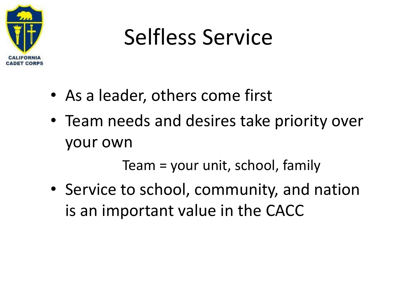

## Selfless Service

- As a leader, others come first
- Team needs and desires take priority over your own

Team = your unit, school, family

• Service to school, community, and nation is an important value in the CACC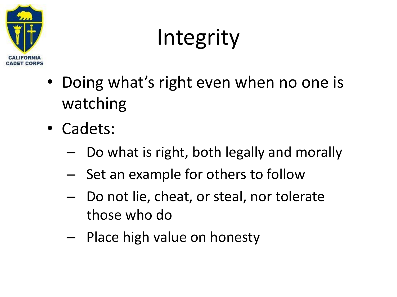

## Integrity

- Doing what's right even when no one is watching
- Cadets:
	- Do what is right, both legally and morally
	- Set an example for others to follow
	- Do not lie, cheat, or steal, nor tolerate those who do
	- Place high value on honesty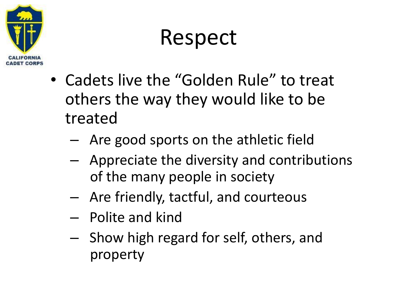

### Respect

- Cadets live the "Golden Rule" to treat others the way they would like to be treated
	- Are good sports on the athletic field
	- Appreciate the diversity and contributions of the many people in society
	- Are friendly, tactful, and courteous
	- Polite and kind
	- Show high regard for self, others, and property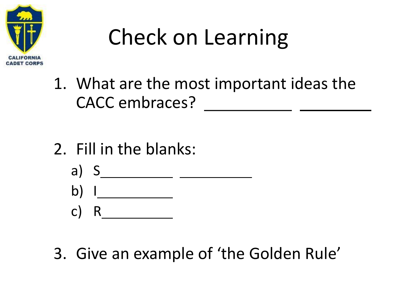

## Check on Learning

- 1. What are the most important ideas the CACC embraces? \_\_\_\_\_\_\_\_\_\_\_\_\_\_\_ \_\_\_\_\_\_\_\_\_
- 2. Fill in the blanks:
	- a) S
	- b) I
	- c) R
- 3. Give an example of 'the Golden Rule'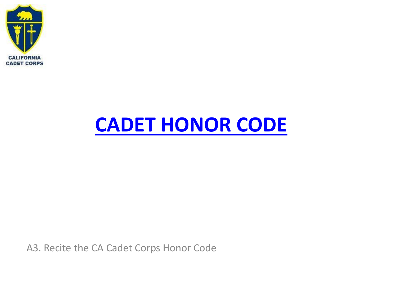<span id="page-23-0"></span>

### **[CADET HONOR CODE](#page-1-0)**

A3. Recite the CA Cadet Corps Honor Code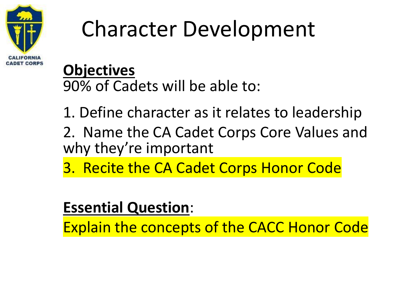

## Character Development

#### **Objectives**

90% of Cadets will be able to:

1. Define character as it relates to leadership

- 2. Name the CA Cadet Corps Core Values and why they're important
- 3. Recite the CA Cadet Corps Honor Code

#### **Essential Question**:

Explain the concepts of the CACC Honor Code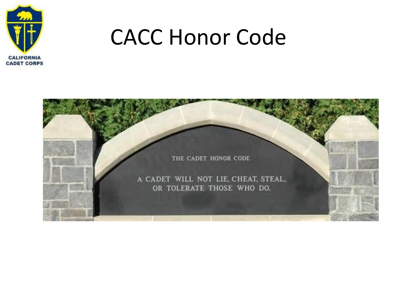

### CACC Honor Code

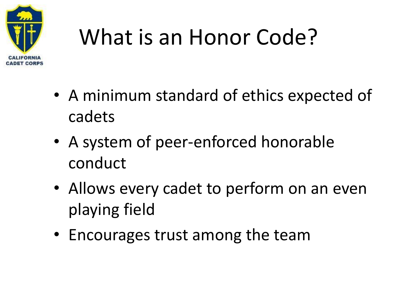

## What is an Honor Code?

- A minimum standard of ethics expected of cadets
- A system of peer-enforced honorable conduct
- Allows every cadet to perform on an even playing field
- Encourages trust among the team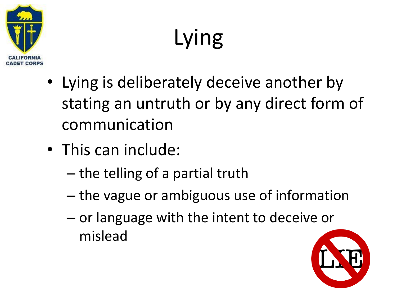

Lying

- Lying is deliberately deceive another by stating an untruth or by any direct form of communication
- This can include:
	- the telling of a partial truth
	- the vague or ambiguous use of information
	- or language with the intent to deceive or mislead

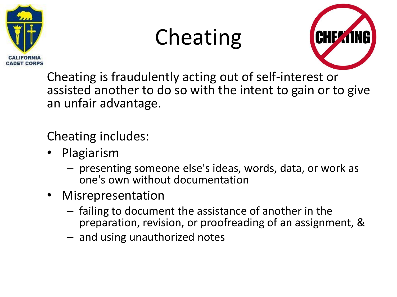

### Cheating



Cheating is fraudulently acting out of self-interest or assisted another to do so with the intent to gain or to give an unfair advantage.

Cheating includes:

- Plagiarism
	- presenting someone else's ideas, words, data, or work as one's own without documentation
- Misrepresentation
	- failing to document the assistance of another in the preparation, revision, or proofreading of an assignment, &
	- and using unauthorized notes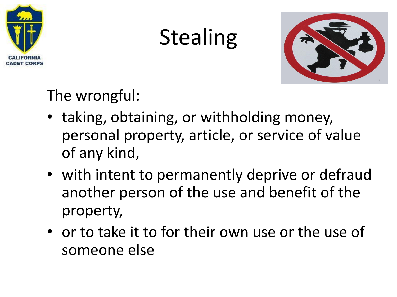

### Stealing



The wrongful:

- taking, obtaining, or withholding money, personal property, article, or service of value of any kind,
- with intent to permanently deprive or defraud another person of the use and benefit of the property,
- or to take it to for their own use or the use of someone else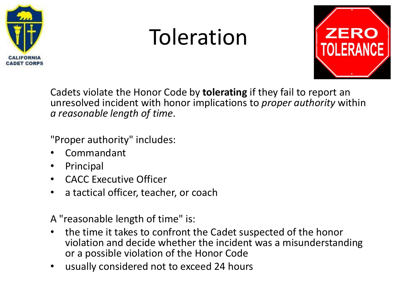

### Toleration



Cadets violate the Honor Code by **tolerating** if they fail to report an unresolved incident with honor implications to *proper authority* within *a reasonable length of time*.

"Proper authority" includes:

- Commandant
- Principal
- CACC Executive Officer
- a tactical officer, teacher, or coach

A "reasonable length of time" is:

- the time it takes to confront the Cadet suspected of the honor violation and decide whether the incident was a misunderstanding or a possible violation of the Honor Code
- usually considered not to exceed 24 hours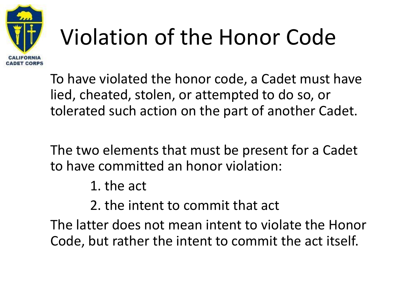

## Violation of the Honor Code

To have violated the honor code, a Cadet must have lied, cheated, stolen, or attempted to do so, or tolerated such action on the part of another Cadet.

The two elements that must be present for a Cadet to have committed an honor violation:

1. the act

2. the intent to commit that act

The latter does not mean intent to violate the Honor Code, but rather the intent to commit the act itself.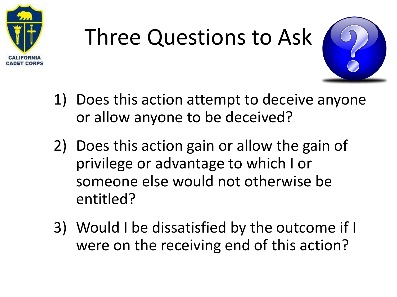

# Three Questions to Ask



- 1) Does this action attempt to deceive anyone or allow anyone to be deceived?
- 2) Does this action gain or allow the gain of privilege or advantage to which I or someone else would not otherwise be entitled?
- 3) Would I be dissatisfied by the outcome if I were on the receiving end of this action?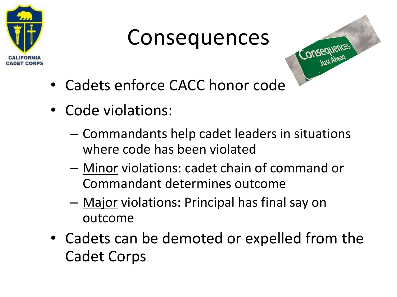

### Consequences



- Cadets enforce CACC honor code
- Code violations:
	- Commandants help cadet leaders in situations where code has been violated
	- Minor violations: cadet chain of command or Commandant determines outcome
	- Major violations: Principal has final say on outcome
- Cadets can be demoted or expelled from the Cadet Corps